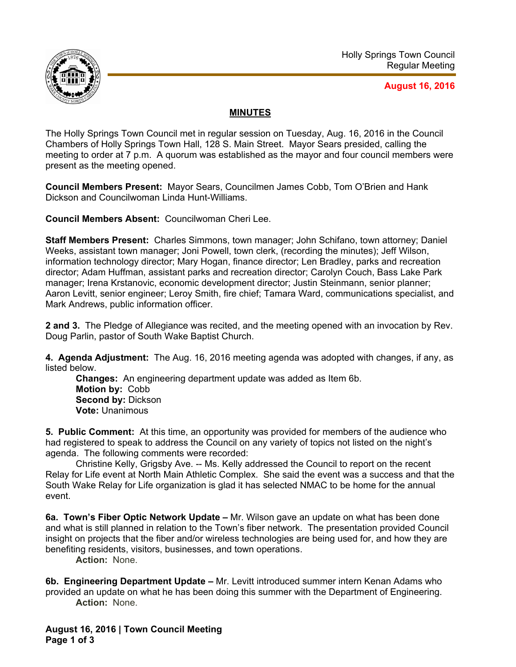

## **August 16, 2016**

## **MINUTES**

The Holly Springs Town Council met in regular session on Tuesday, Aug. 16, 2016 in the Council Chambers of Holly Springs Town Hall, 128 S. Main Street. Mayor Sears presided, calling the meeting to order at 7 p.m. A quorum was established as the mayor and four council members were present as the meeting opened.

**Council Members Present:** Mayor Sears, Councilmen James Cobb, Tom O'Brien and Hank Dickson and Councilwoman Linda Hunt-Williams.

**Council Members Absent:** Councilwoman Cheri Lee.

**Staff Members Present:** Charles Simmons, town manager; John Schifano, town attorney; Daniel Weeks, assistant town manager; Joni Powell, town clerk, (recording the minutes); Jeff Wilson, information technology director; Mary Hogan, finance director; Len Bradley, parks and recreation director; Adam Huffman, assistant parks and recreation director; Carolyn Couch, Bass Lake Park manager; Irena Krstanovic, economic development director; Justin Steinmann, senior planner; Aaron Levitt, senior engineer; Leroy Smith, fire chief; Tamara Ward, communications specialist, and Mark Andrews, public information officer.

**2 and 3.** The Pledge of Allegiance was recited, and the meeting opened with an invocation by Rev. Doug Parlin, pastor of South Wake Baptist Church.

**4. Agenda Adjustment:** The Aug. 16, 2016 meeting agenda was adopted with changes, if any, as listed below.

**Changes:** An engineering department update was added as Item 6b. **Motion by:** Cobb **Second by: Dickson Vote:** Unanimous

**5. Public Comment:** At this time, an opportunity was provided for members of the audience who had registered to speak to address the Council on any variety of topics not listed on the night's agenda. The following comments were recorded:

 Christine Kelly, Grigsby Ave. -- Ms. Kelly addressed the Council to report on the recent Relay for Life event at North Main Athletic Complex. She said the event was a success and that the South Wake Relay for Life organization is glad it has selected NMAC to be home for the annual event.

**6a. Town's Fiber Optic Network Update –** Mr. Wilson gave an update on what has been done and what is still planned in relation to the Town's fiber network. The presentation provided Council insight on projects that the fiber and/or wireless technologies are being used for, and how they are benefiting residents, visitors, businesses, and town operations.

**Action:** None.

**6b. Engineering Department Update –** Mr. Levitt introduced summer intern Kenan Adams who provided an update on what he has been doing this summer with the Department of Engineering. **Action:** None.

**August 16, 2016 | Town Council Meeting Page 1 of 3**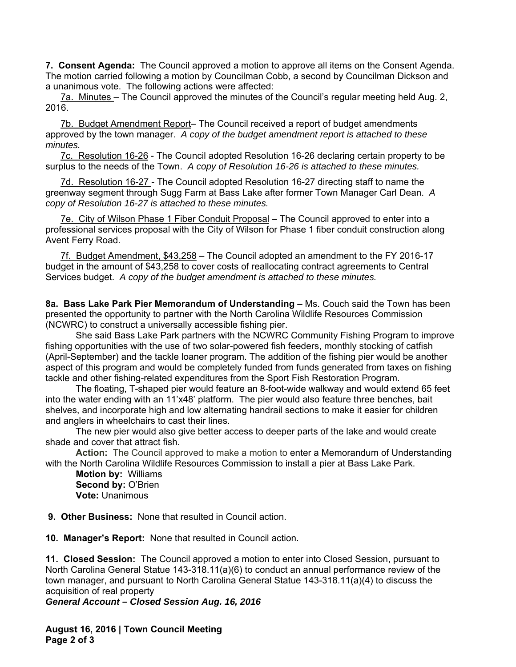**7. Consent Agenda:** The Council approved a motion to approve all items on the Consent Agenda. The motion carried following a motion by Councilman Cobb, a second by Councilman Dickson and a unanimous vote. The following actions were affected:

7a. Minutes – The Council approved the minutes of the Council's regular meeting held Aug. 2, 2016.

7b. Budget Amendment Report- The Council received a report of budget amendments approved by the town manager. *A copy of the budget amendment report is attached to these minutes.* 

7c. Resolution 16-26 - The Council adopted Resolution 16-26 declaring certain property to be surplus to the needs of the Town. *A copy of Resolution 16-26 is attached to these minutes.*

7d. Resolution 16-27 - The Council adopted Resolution 16-27 directing staff to name the greenway segment through Sugg Farm at Bass Lake after former Town Manager Carl Dean. *A copy of Resolution 16-27 is attached to these minutes.* 

7e. City of Wilson Phase 1 Fiber Conduit Proposal – The Council approved to enter into a professional services proposal with the City of Wilson for Phase 1 fiber conduit construction along Avent Ferry Road.

7f. Budget Amendment, \$43,258 – The Council adopted an amendment to the FY 2016-17 budget in the amount of \$43,258 to cover costs of reallocating contract agreements to Central Services budget. *A copy of the budget amendment is attached to these minutes.* 

**8a. Bass Lake Park Pier Memorandum of Understanding –** Ms. Couch said the Town has been presented the opportunity to partner with the North Carolina Wildlife Resources Commission (NCWRC) to construct a universally accessible fishing pier.

She said Bass Lake Park partners with the NCWRC Community Fishing Program to improve fishing opportunities with the use of two solar-powered fish feeders, monthly stocking of catfish (April-September) and the tackle loaner program. The addition of the fishing pier would be another aspect of this program and would be completely funded from funds generated from taxes on fishing tackle and other fishing-related expenditures from the Sport Fish Restoration Program.

The floating, T-shaped pier would feature an 8-foot-wide walkway and would extend 65 feet into the water ending with an 11'x48' platform. The pier would also feature three benches, bait shelves, and incorporate high and low alternating handrail sections to make it easier for children and anglers in wheelchairs to cast their lines.

The new pier would also give better access to deeper parts of the lake and would create shade and cover that attract fish.

**Action:** The Council approved to make a motion to enter a Memorandum of Understanding with the North Carolina Wildlife Resources Commission to install a pier at Bass Lake Park.

**Motion by:** Williams **Second by:** O'Brien **Vote:** Unanimous

 **9. Other Business:** None that resulted in Council action.

**10. Manager's Report:** None that resulted in Council action.

**11. Closed Session:** The Council approved a motion to enter into Closed Session, pursuant to North Carolina General Statue 143-318.11(a)(6) to conduct an annual performance review of the town manager, and pursuant to North Carolina General Statue 143-318.11(a)(4) to discuss the acquisition of real property

*General Account – Closed Session Aug. 16, 2016* 

**August 16, 2016 | Town Council Meeting Page 2 of 3**